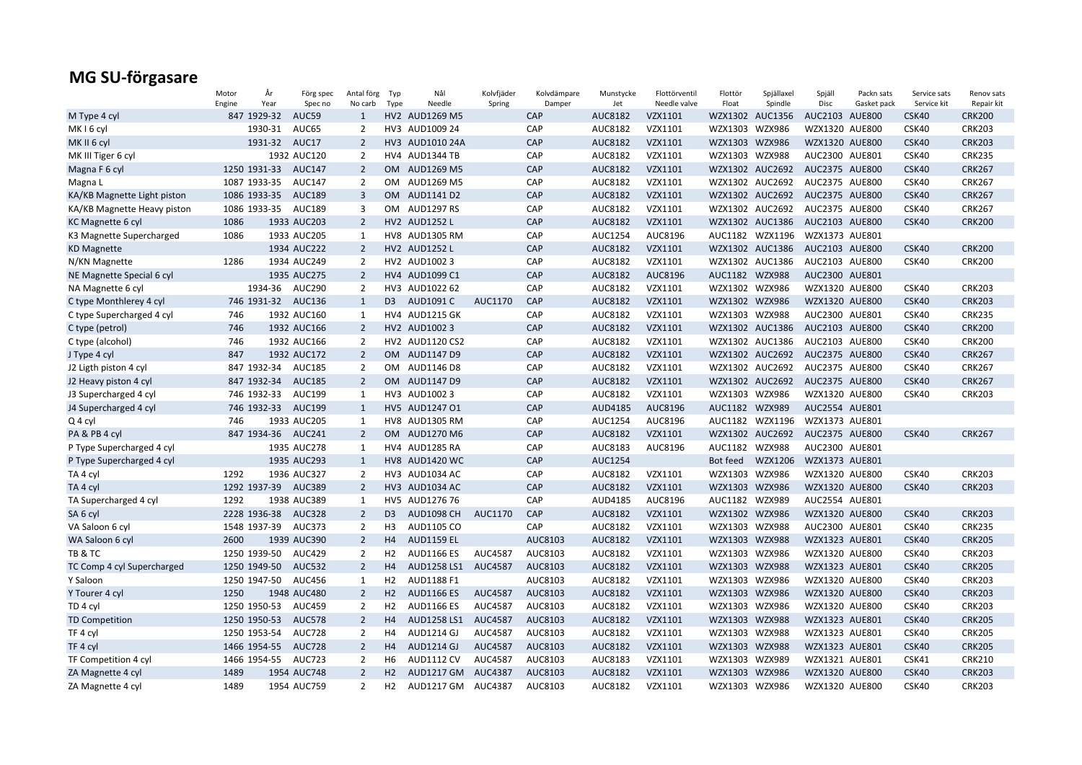|                                                | Motor                 | År          | Förg spec                  | Antal förg     | Typ            | Nål                                     | Kolvfjäder     | Kolvdämpare   | Munstycke      | Flottörventil           | Flottör                    | Spjällaxel                 | Spjäll          | Packn sats                   | Service sats         | Renov sats                  |
|------------------------------------------------|-----------------------|-------------|----------------------------|----------------|----------------|-----------------------------------------|----------------|---------------|----------------|-------------------------|----------------------------|----------------------------|-----------------|------------------------------|----------------------|-----------------------------|
| M Type 4 cyl                                   | Engine<br>847 1929-32 | Year        | Spec no<br>AUC59           | No carb<br>1   | Type           | Needle<br>HV2 AUD1269 M5                | Spring         | Damper<br>CAP | Jet<br>AUC8182 | Needle valve<br>VZX1101 | Float                      | Spindle<br>WZX1302 AUC1356 | Disc<br>AUC2103 | Gasket pack<br><b>AUE800</b> | Service kit<br>CSK40 | Repair kit<br><b>CRK200</b> |
| MK <sub>16</sub> cyl                           |                       | 1930-31     | AUC65                      | $\overline{2}$ |                | HV3 AUD1009 24                          |                | CAP           | AUC8182        | VZX1101                 | WZX1303                    | <b>WZX986</b>              | WZX1320 AUE800  |                              | CSK40                | <b>CRK203</b>               |
| MK II 6 cyl                                    |                       | 1931-32     | AUC17                      | $\overline{2}$ |                | HV3 AUD1010 24A                         |                | CAP           | AUC8182        | VZX1101                 | WZX1303 WZX986             |                            | WZX1320 AUE800  |                              | CSK40                | <b>CRK203</b>               |
| MK III Tiger 6 cyl                             |                       |             | 1932 AUC120                | $\overline{2}$ |                | HV4 AUD1344 TB                          |                | CAP           | AUC8182        | VZX1101                 | WZX1303 WZX988             |                            | AUC2300 AUE801  |                              | CSK40                | <b>CRK235</b>               |
| Magna F 6 cyl                                  | 1250 1931-33          |             | <b>AUC147</b>              | $\overline{2}$ | <b>OM</b>      | AUD1269 M5                              |                | CAP           | AUC8182        | VZX1101                 |                            | WZX1302 AUC2692            | AUC2375 AUE800  |                              | CSK40                | <b>CRK267</b>               |
| Magna L                                        | 1087 1933-35          |             | <b>AUC147</b>              | $\overline{2}$ |                | OM AUD1269 M5                           |                | CAP           | AUC8182        | VZX1101                 |                            | WZX1302 AUC2692            | AUC2375 AUE800  |                              | CSK40                | <b>CRK267</b>               |
| KA/KB Magnette Light piston                    | 1086 1933-35          |             | <b>AUC189</b>              | 3              |                | OM AUD1141 D2                           |                | CAP           | AUC8182        | VZX1101                 |                            | WZX1302 AUC2692            | AUC2375 AUE800  |                              | CSK40                | <b>CRK267</b>               |
| KA/KB Magnette Heavy piston                    | 1086 1933-35          |             | <b>AUC189</b>              | 3              |                | OM AUD1297 RS                           |                | CAP           | AUC8182        | VZX1101                 |                            | WZX1302 AUC2692            | AUC2375 AUE800  |                              | CSK40                | <b>CRK267</b>               |
| KC Magnette 6 cyl                              | 1086                  |             | 1933 AUC203                | $\overline{2}$ |                | HV2 AUD1252 L                           |                | CAP           | AUC8182        | VZX1101                 |                            | WZX1302 AUC1386            | AUC2103 AUE800  |                              | CSK40                | <b>CRK200</b>               |
| K3 Magnette Supercharged                       | 1086                  |             | 1933 AUC205                | 1              |                | HV8 AUD1305 RM                          |                | CAP           | AUC1254        | AUC8196                 |                            | AUC1182 WZX1196            | WZX1373 AUE801  |                              |                      |                             |
| <b>KD Magnette</b>                             |                       |             | 1934 AUC222                | $\overline{2}$ |                | HV2 AUD1252 L                           |                | CAP           | AUC8182        | VZX1101                 |                            | WZX1302 AUC1386            | AUC2103 AUE800  |                              | CSK40                | <b>CRK200</b>               |
| N/KN Magnette                                  | 1286                  |             | 1934 AUC249                | $\overline{2}$ |                | HV2 AUD10023                            |                | CAP           | AUC8182        | VZX1101                 |                            | WZX1302 AUC1386            | AUC2103 AUE800  |                              | CSK40                | <b>CRK200</b>               |
| NE Magnette Special 6 cyl                      |                       |             | 1935 AUC275                | $\overline{2}$ |                | HV4 AUD1099 C1                          |                | CAP           | AUC8182        | AUC8196                 | AUC1182 WZX988             |                            | AUC2300 AUE801  |                              |                      |                             |
| NA Magnette 6 cyl                              |                       | 1934-36     | <b>AUC290</b>              | $\overline{2}$ |                | HV3 AUD1022 62                          |                | CAP           | AUC8182        | VZX1101                 | WZX1302 WZX986             |                            | WZX1320 AUE800  |                              | CSK40                | <b>CRK203</b>               |
| C type Monthlerey 4 cyl                        |                       |             | 746 1931-32 AUC136         | 1              | D <sub>3</sub> | AUD1091 C                               | AUC1170        | CAP           | AUC8182        | VZX1101                 | WZX1302 WZX986             |                            | WZX1320 AUE800  |                              | CSK40                | <b>CRK203</b>               |
| C type Supercharged 4 cyl                      | 746                   |             | 1932 AUC160                | 1              |                | <b>HV4 AUD1215 GK</b>                   |                | CAP           | AUC8182        | VZX1101                 | WZX1303 WZX988             |                            | AUC2300 AUE801  |                              | CSK40                | <b>CRK235</b>               |
| C type (petrol)                                | 746                   |             | 1932 AUC166                | $\overline{2}$ |                | HV2 AUD10023                            |                | CAP           | AUC8182        | VZX1101                 |                            | WZX1302 AUC1386            | AUC2103 AUE800  |                              | CSK40                | <b>CRK200</b>               |
| C type (alcohol)                               | 746                   |             | 1932 AUC166                | $\overline{2}$ |                | HV2 AUD1120 CS2                         |                | CAP           | AUC8182        | VZX1101                 |                            | WZX1302 AUC1386            | AUC2103 AUE800  |                              | CSK40                | <b>CRK200</b>               |
| J Type 4 cyl                                   | 847                   |             | 1932 AUC172                | $\overline{2}$ |                | OM AUD1147 D9                           |                | CAP           | AUC8182        | VZX1101                 |                            | WZX1302 AUC2692            | AUC2375 AUE800  |                              | CSK40                | <b>CRK267</b>               |
|                                                | 847 1932-34           |             | <b>AUC185</b>              | $\overline{2}$ |                | OM AUD1146 D8                           |                | CAP           | AUC8182        | VZX1101                 |                            | WZX1302 AUC2692            | AUC2375 AUE800  |                              | CSK40                | <b>CRK267</b>               |
| J2 Ligth piston 4 cyl<br>J2 Heavy piston 4 cyl | 847 1932-34           |             | <b>AUC185</b>              | $\overline{2}$ |                | OM AUD1147 D9                           |                | CAP           | AUC8182        | VZX1101                 |                            | WZX1302 AUC2692            | AUC2375 AUE800  |                              | CSK40                | <b>CRK267</b>               |
|                                                | 746 1932-33           |             | AUC199                     | 1              |                | HV3 AUD1002 3                           |                | CAP           | AUC8182        | VZX1101                 | WZX1303 WZX986             |                            | WZX1320 AUE800  |                              |                      | <b>CRK203</b>               |
| J3 Supercharged 4 cyl                          |                       | 746 1932-33 | <b>AUC199</b>              |                |                | HV5 AUD1247 01                          |                | CAP           | AUD4185        | AUC8196                 | AUC1182 WZX989             |                            | AUC2554 AUE801  |                              | CSK40                |                             |
| J4 Supercharged 4 cyl                          | 746                   |             |                            | 1              |                |                                         |                | CAP           |                |                         |                            |                            |                 |                              |                      |                             |
| Q 4 cyl                                        |                       |             | 1933 AUC205                | 1              |                | HV8 AUD1305 RM                          |                |               | AUC1254        | AUC8196                 |                            | AUC1182 WZX1196            | WZX1373 AUE801  |                              |                      |                             |
| PA & PB 4 cyl                                  |                       | 847 1934-36 | <b>AUC241</b>              | $\overline{2}$ | OM.            | AUD1270 M6                              |                | CAP           | AUC8182        | VZX1101                 |                            | WZX1302 AUC2692            | AUC2375 AUE800  |                              | CSK40                | <b>CRK267</b>               |
| P Type Supercharged 4 cyl                      |                       |             | 1935 AUC278                | 1              |                | HV4 AUD1285 RA                          |                | CAP           | AUC8183        | AUC8196                 | AUC1182 WZX988             |                            | AUC2300 AUE801  |                              |                      |                             |
| P Type Supercharged 4 cyl                      | 1292                  |             | 1935 AUC293<br>1936 AUC327 | $\mathbf{1}$   |                | <b>HV8 AUD1420 WC</b><br>HV3 AUD1034 AC |                | CAP<br>CAP    | AUC1254        |                         | Bot feed<br>WZX1303 WZX986 | WZX1206                    | WZX1373 AUE801  |                              |                      | <b>CRK203</b>               |
| TA 4 cyl                                       |                       |             |                            | $\overline{2}$ |                |                                         |                |               | AUC8182        | VZX1101                 |                            |                            | WZX1320 AUE800  |                              | CSK40                |                             |
| TA 4 cyl                                       |                       |             | 1292 1937-39 AUC389        | $\overline{2}$ |                | HV3 AUD1034 AC                          |                | CAP<br>CAP    | AUC8182        | VZX1101                 | WZX1303 WZX986             |                            | WZX1320 AUE800  |                              | CSK40                | <b>CRK203</b>               |
| TA Supercharged 4 cyl                          | 1292                  |             | 1938 AUC389                | 1              |                | HV5 AUD1276 76                          |                |               | AUD4185        | AUC8196                 | AUC1182 WZX989             |                            | AUC2554 AUE801  |                              |                      |                             |
| SA <sub>6</sub> cyl                            | 2228 1936-38          |             | <b>AUC328</b>              | $\overline{2}$ | D <sub>3</sub> | <b>AUD1098 CH</b>                       | AUC1170        | CAP           | AUC8182        | VZX1101                 | WZX1302 WZX986             |                            | WZX1320 AUE800  |                              | CSK40                | <b>CRK203</b>               |
| VA Saloon 6 cyl                                | 1548 1937-39          |             | AUC373                     | 2              | H3             | AUD1105 CO                              |                | CAP           | AUC8182        | VZX1101                 | WZX1303 WZX988             |                            | AUC2300 AUE801  |                              | CSK40                | <b>CRK235</b>               |
| WA Saloon 6 cyl                                | 2600                  |             | 1939 AUC390                | $\overline{2}$ | H4             | <b>AUD1159 EL</b>                       |                | AUC8103       | AUC8182        | VZX1101                 | WZX1303 WZX988             |                            | WZX1323 AUE801  |                              | CSK40                | <b>CRK205</b>               |
| TB & TC                                        | 1250 1939-50          |             | <b>AUC429</b>              | $\overline{2}$ | H <sub>2</sub> | <b>AUD1166 ES</b>                       | <b>AUC4587</b> | AUC8103       | AUC8182        | VZX1101                 | WZX1303 WZX986             |                            | WZX1320 AUE800  |                              | CSK40                | <b>CRK203</b>               |
| TC Comp 4 cyl Supercharged                     | 1250 1949-50          |             | <b>AUC532</b>              | $\overline{2}$ | H4             | AUD1258 LS1                             | <b>AUC4587</b> | AUC8103       | AUC8182        | VZX1101                 | WZX1303 WZX988             |                            | WZX1323 AUE801  |                              | CSK40                | <b>CRK205</b>               |
| Y Saloon                                       | 1250 1947-50          |             | <b>AUC456</b>              | 1              | H <sub>2</sub> | AUD1188 F1                              |                | AUC8103       | AUC8182        | VZX1101                 | WZX1303 WZX986             |                            | WZX1320 AUE800  |                              | CSK40                | <b>CRK203</b>               |
| Y Tourer 4 cyl                                 | 1250                  |             | 1948 AUC480                | $\overline{2}$ | H2             | <b>AUD1166 ES</b>                       | <b>AUC4587</b> | AUC8103       | AUC8182        | VZX1101                 | WZX1303 WZX986             |                            | WZX1320 AUE800  |                              | CSK40                | <b>CRK203</b>               |
| TD 4 cyl                                       | 1250 1950-53          |             | <b>AUC459</b>              | $\overline{2}$ | H2             | <b>AUD1166 ES</b>                       | <b>AUC4587</b> | AUC8103       | AUC8182        | VZX1101                 | WZX1303 WZX986             |                            | WZX1320 AUE800  |                              | CSK40                | <b>CRK203</b>               |
| <b>TD Competition</b>                          | 1250 1950-53          |             | <b>AUC578</b>              | $\overline{2}$ | H4             | AUD1258 LS1                             | <b>AUC4587</b> | AUC8103       | AUC8182        | VZX1101                 | WZX1303 WZX988             |                            | WZX1323 AUE801  |                              | CSK40                | <b>CRK205</b>               |
| TF 4 cyl                                       | 1250 1953-54          |             | <b>AUC728</b>              | $\overline{2}$ | H <sub>4</sub> | AUD1214 GJ                              | AUC4587        | AUC8103       | AUC8182        | VZX1101                 | WZX1303 WZX988             |                            | WZX1323 AUE801  |                              | CSK40                | <b>CRK205</b>               |
| TF 4 cyl                                       | 1466 1954-55          |             | <b>AUC728</b>              | $\overline{2}$ | H4             | <b>AUD1214 GJ</b>                       | <b>AUC4587</b> | AUC8103       | AUC8182        | VZX1101                 | WZX1303 WZX988             |                            | WZX1323 AUE801  |                              | CSK40                | <b>CRK205</b>               |
| TF Competition 4 cyl                           | 1466 1954-55          |             | <b>AUC723</b>              | $\overline{2}$ | H6             | <b>AUD1112 CV</b>                       | AUC4587        | AUC8103       | AUC8183        | VZX1101                 | WZX1303 WZX989             |                            | WZX1321 AUE801  |                              | CSK41                | <b>CRK210</b>               |
| ZA Magnette 4 cyl                              | 1489                  |             | 1954 AUC748                | $\overline{2}$ | H2             | <b>AUD1217 GM</b>                       | AUC4387        | AUC8103       | AUC8182        | VZX1101                 | WZX1303 WZX986             |                            | WZX1320 AUE800  |                              | CSK40                | <b>CRK203</b>               |
| ZA Magnette 4 cyl                              | 1489                  |             | 1954 AUC759                | $\overline{2}$ | H2             | AUD1217 GM AUC4387                      |                | AUC8103       | AUC8182        | VZX1101                 | WZX1303 WZX986             |                            | WZX1320 AUE800  |                              | CSK40                | <b>CRK203</b>               |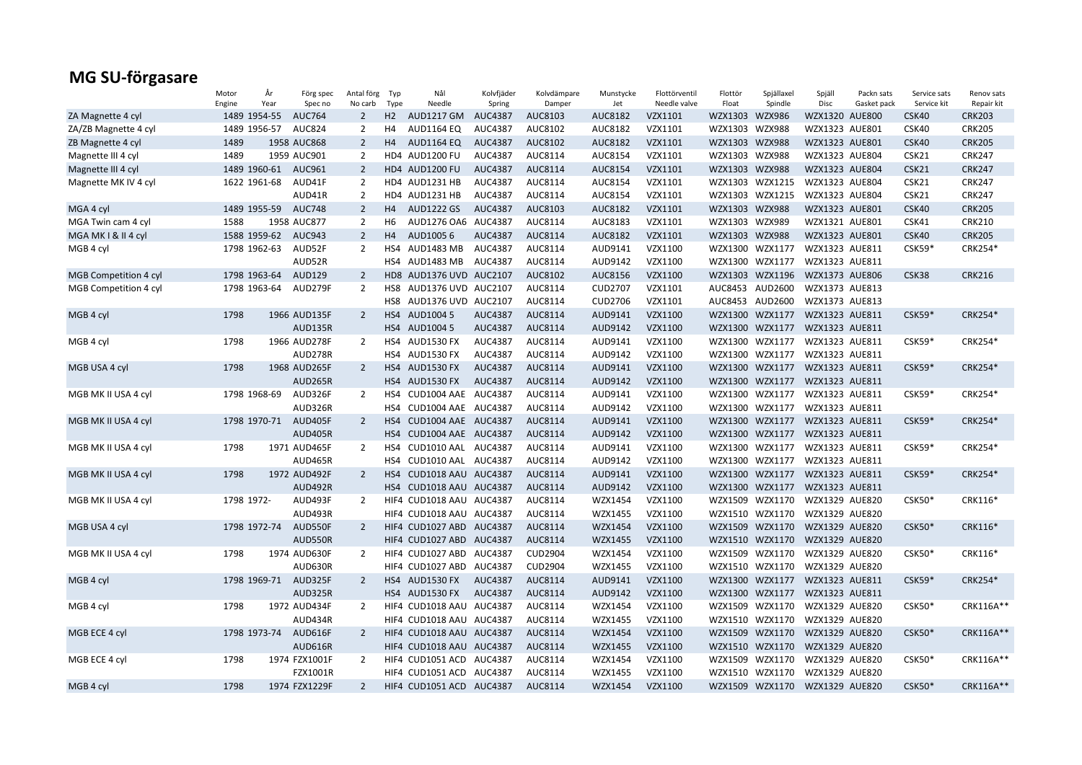|                       | Motor      | År           | Förg spec      | Antal förg     | Typ  | Nål                      | Kolvfjäder     | Kolvdämpare    | Munstycke      | Flottörventil | Flottör        | Spjällaxel      | Spjäll         | Packn sats  | Service sats  | Renov sats    |
|-----------------------|------------|--------------|----------------|----------------|------|--------------------------|----------------|----------------|----------------|---------------|----------------|-----------------|----------------|-------------|---------------|---------------|
|                       | Engine     | Year         | Spec no        | No carb        | Type | Needle                   | Spring         | Damper         | Jet            | Needle valve  | Float          | Spindle         | Disc           | Gasket pack | Service kit   | Repair kit    |
| ZA Magnette 4 cyl     |            | 1489 1954-55 | <b>AUC764</b>  | $\overline{2}$ | H2   | <b>AUD1217 GM</b>        | AUC4387        | AUC8103        | AUC8182        | VZX1101       | WZX1303 WZX986 |                 | WZX1320 AUE800 |             | CSK40         | <b>CRK203</b> |
| ZA/ZB Magnette 4 cyl  |            | 1489 1956-57 | <b>AUC824</b>  | $\overline{2}$ | H4   | AUD1164 EQ               | <b>AUC4387</b> | AUC8102        | AUC8182        | VZX1101       | WZX1303 WZX988 |                 | WZX1323 AUE801 |             | CSK40         | <b>CRK205</b> |
| ZB Magnette 4 cyl     | 1489       |              | 1958 AUC868    | $\overline{2}$ | H4   | <b>AUD1164 EQ</b>        | <b>AUC4387</b> | AUC8102        | AUC8182        | VZX1101       | WZX1303 WZX988 |                 | WZX1323 AUE801 |             | CSK40         | <b>CRK205</b> |
| Magnette III 4 cyl    | 1489       |              | 1959 AUC901    | 2              |      | HD4 AUD1200 FU           | AUC4387        | AUC8114        | AUC8154        | VZX1101       | WZX1303 WZX988 |                 | WZX1323 AUE804 |             | CSK21         | <b>CRK247</b> |
| Magnette III 4 cyl    |            | 1489 1960-61 | AUC961         | $\overline{2}$ |      | HD4 AUD1200 FU           | <b>AUC4387</b> | AUC8114        | AUC8154        | VZX1101       | WZX1303 WZX988 |                 | WZX1323 AUE804 |             | CSK21         | <b>CRK247</b> |
| Magnette MK IV 4 cyl  |            | 1622 1961-68 | AUD41F         | $\overline{2}$ |      | HD4 AUD1231 HB           | AUC4387        | AUC8114        | AUC8154        | VZX1101       |                | WZX1303 WZX1215 | WZX1323 AUE804 |             | CSK21         | <b>CRK247</b> |
|                       |            |              | AUD41R         | $\overline{2}$ |      | HD4 AUD1231 HB           | AUC4387        | AUC8114        | AUC8154        | VZX1101       |                | WZX1303 WZX1215 | WZX1323 AUE804 |             | CSK21         | <b>CRK247</b> |
| MGA 4 cyl             |            | 1489 1955-59 | <b>AUC748</b>  | $\overline{2}$ | H4   | <b>AUD1222 GS</b>        | AUC4387        | AUC8103        | AUC8182        | VZX1101       | WZX1303 WZX988 |                 | WZX1323 AUE801 |             | CSK40         | <b>CRK205</b> |
| MGA Twin cam 4 cyl    | 1588       |              | 1958 AUC877    | $\overline{2}$ | H6   | AUD1276 OA6 AUC4387      |                | AUC8114        | AUC8183        | VZX1101       | WZX1303 WZX989 |                 | WZX1321 AUE801 |             | CSK41         | <b>CRK210</b> |
| MGA MK I & II 4 cyl   |            | 1588 1959-62 | <b>AUC943</b>  | $\overline{2}$ | H4   | AUD10056                 | <b>AUC4387</b> | AUC8114        | AUC8182        | VZX1101       | WZX1303 WZX988 |                 | WZX1323 AUE801 |             | CSK40         | <b>CRK205</b> |
| MGB 4 cyl             |            | 1798 1962-63 | AUD52F         | $\overline{2}$ | HS4  | AUD1483 MB               | AUC4387        | AUC8114        | AUD9141        | VZX1100       |                | WZX1300 WZX1177 | WZX1323 AUE811 |             | CSK59*        | CRK254*       |
|                       |            |              | AUD52R         |                |      | HS4 AUD1483 MB           | AUC4387        | AUC8114        | AUD9142        | VZX1100       |                | WZX1300 WZX1177 | WZX1323 AUE811 |             |               |               |
| MGB Competition 4 cyl |            | 1798 1963-64 | AUD129         | $\overline{2}$ |      | HD8 AUD1376 UVD AUC2107  |                | AUC8102        | AUC8156        | VZX1100       |                | WZX1303 WZX1196 | WZX1373 AUE806 |             | CSK38         | <b>CRK216</b> |
| MGB Competition 4 cyl |            | 1798 1963-64 | AUD279F        | $\overline{2}$ | HS8  | AUD1376 UVD AUC2107      |                | AUC8114        | <b>CUD2707</b> | VZX1101       |                | AUC8453 AUD2600 | WZX1373 AUE813 |             |               |               |
|                       |            |              |                |                |      | HS8 AUD1376 UVD AUC2107  |                | AUC8114        | <b>CUD2706</b> | VZX1101       |                | AUC8453 AUD2600 | WZX1373 AUE813 |             |               |               |
| MGB 4 cyl             | 1798       |              | 1966 AUD135F   | $\overline{2}$ |      | HS4 AUD1004 5            | <b>AUC4387</b> | AUC8114        | AUD9141        | VZX1100       |                | WZX1300 WZX1177 | WZX1323 AUE811 |             | CSK59*        | CRK254*       |
|                       |            |              | AUD135R        |                |      | HS4 AUD1004 5            | AUC4387        | AUC8114        | AUD9142        | VZX1100       |                | WZX1300 WZX1177 | WZX1323 AUE811 |             |               |               |
| MGB 4 cyl             | 1798       |              | 1966 AUD278F   | $\overline{2}$ |      | HS4 AUD1530 FX           | <b>AUC4387</b> | AUC8114        | AUD9141        | VZX1100       |                | WZX1300 WZX1177 | WZX1323 AUE811 |             | $CSK59*$      | CRK254*       |
|                       |            |              | AUD278R        |                |      | HS4 AUD1530 FX           | AUC4387        | AUC8114        | AUD9142        | VZX1100       |                | WZX1300 WZX1177 | WZX1323 AUE811 |             |               |               |
| MGB USA 4 cyl         | 1798       |              | 1968 AUD265F   | $\overline{2}$ |      | HS4 AUD1530 FX           | AUC4387        | AUC8114        | AUD9141        | VZX1100       |                | WZX1300 WZX1177 | WZX1323 AUE811 |             | CSK59*        | CRK254*       |
|                       |            |              | AUD265R        |                |      | HS4 AUD1530 FX           | AUC4387        | AUC8114        | AUD9142        | VZX1100       |                | WZX1300 WZX1177 | WZX1323 AUE811 |             |               |               |
| MGB MK II USA 4 cyl   |            | 1798 1968-69 | AUD326F        | $\overline{2}$ |      | HS4 CUD1004 AAE AUC4387  |                | AUC8114        | AUD9141        | VZX1100       |                | WZX1300 WZX1177 | WZX1323 AUE811 |             | CSK59*        | CRK254*       |
|                       |            |              | AUD326R        |                | HS4  | CUD1004 AAE AUC4387      |                | AUC8114        | AUD9142        | VZX1100       |                | WZX1300 WZX1177 | WZX1323 AUE811 |             |               |               |
| MGB MK II USA 4 cyl   |            | 1798 1970-71 | AUD405F        | $\overline{2}$ | HS4  | CUD1004 AAE AUC4387      |                | AUC8114        | AUD9141        | VZX1100       |                | WZX1300 WZX1177 | WZX1323 AUE811 |             | CSK59*        | CRK254*       |
|                       |            |              | <b>AUD405R</b> |                |      | HS4 CUD1004 AAE AUC4387  |                | AUC8114        | AUD9142        | VZX1100       |                | WZX1300 WZX1177 | WZX1323 AUE811 |             |               |               |
| MGB MK II USA 4 cyl   | 1798       |              | 1971 AUD465F   | $\overline{2}$ | HS4  | CUD1010 AAL AUC4387      |                | AUC8114        | AUD9141        | VZX1100       |                | WZX1300 WZX1177 | WZX1323 AUE811 |             | CSK59*        | CRK254*       |
|                       |            |              | AUD465R        |                |      | HS4 CUD1010 AAL AUC4387  |                | AUC8114        | AUD9142        | VZX1100       |                | WZX1300 WZX1177 | WZX1323 AUE811 |             |               |               |
| MGB MK II USA 4 cyl   | 1798       |              | 1972 AUD492F   | $\overline{2}$ | HS4  | CUD1018 AAU AUC4387      |                | AUC8114        | AUD9141        | VZX1100       |                | WZX1300 WZX1177 | WZX1323 AUE811 |             | CSK59*        | CRK254*       |
|                       |            |              | AUD492R        |                |      | HS4 CUD1018 AAU AUC4387  |                | AUC8114        | AUD9142        | VZX1100       |                | WZX1300 WZX1177 | WZX1323 AUE811 |             |               |               |
| MGB MK II USA 4 cyl   | 1798 1972- |              | AUD493F        | $\overline{2}$ |      | HIF4 CUD1018 AAU AUC4387 |                | AUC8114        | WZX1454        | VZX1100       |                | WZX1509 WZX1170 | WZX1329 AUE820 |             | <b>CSK50*</b> | CRK116*       |
|                       |            |              | AUD493R        |                |      | HIF4 CUD1018 AAU AUC4387 |                | AUC8114        | WZX1455        | VZX1100       |                | WZX1510 WZX1170 | WZX1329 AUE820 |             |               |               |
| MGB USA 4 cyl         |            | 1798 1972-74 | AUD550F        | $\overline{2}$ |      | HIF4 CUD1027 ABD AUC4387 |                | AUC8114        | WZX1454        | VZX1100       |                | WZX1509 WZX1170 | WZX1329 AUE820 |             | <b>CSK50*</b> | CRK116*       |
|                       |            |              | AUD550R        |                |      | HIF4 CUD1027 ABD AUC4387 |                | AUC8114        | WZX1455        | VZX1100       |                | WZX1510 WZX1170 | WZX1329 AUE820 |             |               |               |
| MGB MK II USA 4 cyl   | 1798       |              | 1974 AUD630F   | $\overline{2}$ |      | HIF4 CUD1027 ABD AUC4387 |                | <b>CUD2904</b> | WZX1454        | VZX1100       |                | WZX1509 WZX1170 | WZX1329 AUE820 |             | <b>CSK50*</b> | CRK116*       |
|                       |            |              | AUD630R        |                |      | HIF4 CUD1027 ABD AUC4387 |                | <b>CUD2904</b> | WZX1455        | VZX1100       |                | WZX1510 WZX1170 | WZX1329 AUE820 |             |               |               |
|                       |            | 1798 1969-71 | AUD325F        | $\overline{2}$ |      | HS4 AUD1530 FX           | <b>AUC4387</b> | AUC8114        | AUD9141        | VZX1100       |                | WZX1300 WZX1177 | WZX1323 AUE811 |             | CSK59*        | CRK254*       |
| MGB 4 cyl             |            |              |                |                |      |                          |                |                |                |               |                |                 |                |             |               |               |
|                       |            |              | <b>AUD325R</b> |                |      | HS4 AUD1530 FX           | <b>AUC4387</b> | AUC8114        | AUD9142        | VZX1100       |                | WZX1300 WZX1177 | WZX1323 AUE811 |             |               |               |
| MGB 4 cyl             | 1798       |              | 1972 AUD434F   | $\overline{2}$ |      | HIF4 CUD1018 AAU AUC4387 |                | AUC8114        | WZX1454        | VZX1100       |                | WZX1509 WZX1170 | WZX1329 AUE820 |             | CSK50*        | CRK116A**     |
|                       |            |              | AUD434R        |                |      | HIF4 CUD1018 AAU AUC4387 |                | AUC8114        | WZX1455        | VZX1100       |                | WZX1510 WZX1170 | WZX1329 AUE820 |             |               |               |
| MGB ECE 4 cyl         |            | 1798 1973-74 | AUD616F        | $\overline{2}$ |      | HIF4 CUD1018 AAU AUC4387 |                | AUC8114        | WZX1454        | VZX1100       |                | WZX1509 WZX1170 | WZX1329 AUE820 |             | <b>CSK50*</b> | CRK116A**     |
|                       |            |              | <b>AUD616R</b> |                |      | HIF4 CUD1018 AAU AUC4387 |                | AUC8114        | WZX1455        | VZX1100       |                | WZX1510 WZX1170 | WZX1329 AUE820 |             |               |               |
| MGB ECE 4 cyl         | 1798       |              | 1974 FZX1001F  | $\overline{2}$ |      | HIF4 CUD1051 ACD AUC4387 |                | AUC8114        | WZX1454        | VZX1100       | WZX1509        | WZX1170         | WZX1329 AUE820 |             | <b>CSK50*</b> | CRK116A**     |
|                       |            |              | FZX1001R       |                |      | HIF4 CUD1051 ACD AUC4387 |                | AUC8114        | WZX1455        | VZX1100       |                | WZX1510 WZX1170 | WZX1329 AUE820 |             |               |               |
| MGB 4 cyl             | 1798       |              | 1974 FZX1229F  | $\overline{2}$ |      | HIF4 CUD1051 ACD AUC4387 |                | AUC8114        | WZX1454        | VZX1100       |                | WZX1509 WZX1170 | WZX1329 AUE820 |             | $CSK50*$      | CRK116A**     |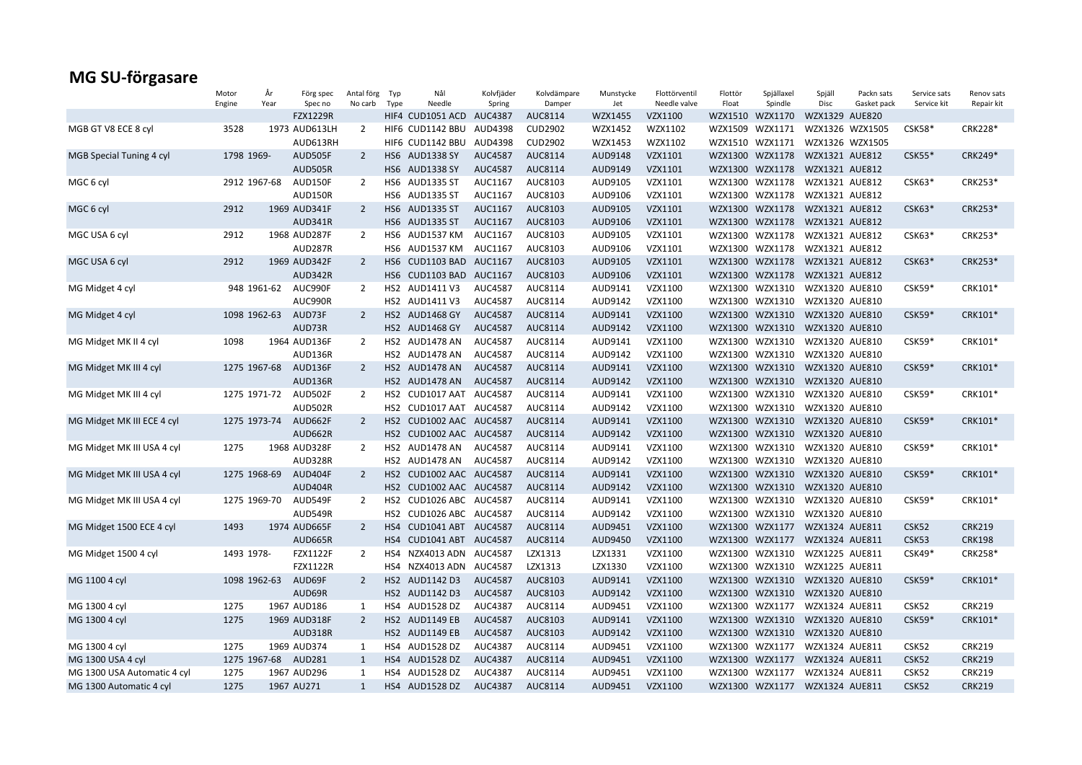|                             | Motor      | År           | Förg spec       | Antal förg     | Typ  | Nål                      | Kolvfjäder     | Kolvdämpare    | Munstycke | Flottörventil | Flottör | Spjällaxel                     | Spjäll         | Packn sats      | Service sats  | Renov sats    |
|-----------------------------|------------|--------------|-----------------|----------------|------|--------------------------|----------------|----------------|-----------|---------------|---------|--------------------------------|----------------|-----------------|---------------|---------------|
|                             | Engine     | Year         | Spec no         | No carb        | Type | Needle                   | Spring         | Damper         | Jet       | Needle valve  | Float   | Spindle                        | Disc           | Gasket pack     | Service kit   | Repair kit    |
|                             |            |              | <b>FZX1229R</b> |                |      | HIF4 CUD1051 ACD AUC4387 |                | AUC8114        | WZX1455   | VZX1100       |         | WZX1510 WZX1170                | WZX1329 AUE820 |                 |               |               |
| MGB GT V8 ECE 8 cyl         | 3528       |              | 1973 AUD613LH   | $\overline{2}$ |      | HIF6 CUD1142 BBU         | AUD4398        | <b>CUD2902</b> | WZX1452   | WZX1102       | WZX1509 | WZX1171                        |                | WZX1326 WZX1505 | <b>CSK58*</b> | CRK228*       |
|                             |            |              | AUD613RH        |                |      | HIF6 CUD1142 BBU         | AUD4398        | <b>CUD2902</b> | WZX1453   | WZX1102       |         | WZX1510 WZX1171                |                | WZX1326 WZX1505 |               |               |
| MGB Special Tuning 4 cyl    | 1798 1969- |              | AUD505F         | $\overline{2}$ |      | HS6 AUD1338 SY           | <b>AUC4587</b> | AUC8114        | AUD9148   | VZX1101       | WZX1300 | WZX1178                        | WZX1321 AUE812 |                 | $CSK55*$      | CRK249*       |
|                             |            |              | <b>AUD505R</b>  |                |      | HS6 AUD1338 SY           | <b>AUC4587</b> | AUC8114        | AUD9149   | VZX1101       | WZX1300 | WZX1178                        | WZX1321 AUE812 |                 |               |               |
| MGC 6 cyl                   |            | 2912 1967-68 | AUD150F         | $\overline{2}$ |      | HS6 AUD1335 ST           | AUC1167        | AUC8103        | AUD9105   | VZX1101       |         | WZX1300 WZX1178                | WZX1321 AUE812 |                 | CSK63*        | CRK253*       |
|                             |            |              | AUD150R         |                |      | HS6 AUD1335 ST           | AUC1167        | AUC8103        | AUD9106   | VZX1101       |         | WZX1300 WZX1178                | WZX1321 AUE812 |                 |               |               |
| MGC 6 cyl                   | 2912       |              | 1969 AUD341F    | $\overline{2}$ |      | HS6 AUD1335 ST           | AUC1167        | AUC8103        | AUD9105   | VZX1101       |         | WZX1300 WZX1178                | WZX1321 AUE812 |                 | CSK63*        | CRK253*       |
|                             |            |              | AUD341R         |                |      | HS6 AUD1335 ST           | AUC1167        | AUC8103        | AUD9106   | VZX1101       |         | WZX1300 WZX1178                | WZX1321 AUE812 |                 |               |               |
| MGC USA 6 cyl               | 2912       |              | 1968 AUD287F    | $\overline{2}$ |      | HS6 AUD1537 KM           | AUC1167        | AUC8103        | AUD9105   | VZX1101       | WZX1300 | WZX1178                        | WZX1321 AUE812 |                 | CSK63*        | CRK253*       |
|                             |            |              | AUD287R         |                |      | HS6 AUD1537 KM           | AUC1167        | AUC8103        | AUD9106   | VZX1101       |         | WZX1300 WZX1178                | WZX1321 AUE812 |                 |               |               |
| MGC USA 6 cyl               | 2912       |              | 1969 AUD342F    | $\overline{2}$ |      | HS6 CUD1103 BAD AUC1167  |                | AUC8103        | AUD9105   | VZX1101       |         | WZX1300 WZX1178                | WZX1321 AUE812 |                 | $CSK63*$      | CRK253*       |
|                             |            |              | AUD342R         |                |      | HS6 CUD1103 BAD AUC1167  |                | AUC8103        | AUD9106   | VZX1101       |         | WZX1300 WZX1178                | WZX1321 AUE812 |                 |               |               |
| MG Midget 4 cyl             |            | 948 1961-62  | AUC990F         | $\overline{2}$ |      | HS2 AUD1411 V3           | <b>AUC4587</b> | AUC8114        | AUD9141   | VZX1100       |         | WZX1300 WZX1310                | WZX1320 AUE810 |                 | CSK59*        | CRK101*       |
|                             |            |              | AUC990R         |                |      | HS2 AUD1411 V3           | AUC4587        | AUC8114        | AUD9142   | VZX1100       |         | WZX1300 WZX1310                | WZX1320 AUE810 |                 |               |               |
| MG Midget 4 cyl             |            | 1098 1962-63 | AUD73F          | $\overline{2}$ |      | HS2 AUD1468 GY           | <b>AUC4587</b> | AUC8114        | AUD9141   | VZX1100       |         | WZX1300 WZX1310                | WZX1320 AUE810 |                 | <b>CSK59*</b> | CRK101*       |
|                             |            |              | AUD73R          |                |      | HS2 AUD1468 GY           | <b>AUC4587</b> | AUC8114        | AUD9142   | VZX1100       |         | WZX1300 WZX1310                | WZX1320 AUE810 |                 |               |               |
| MG Midget MK II 4 cyl       | 1098       |              | 1964 AUD136F    | 2              |      | HS2 AUD1478 AN           | <b>AUC4587</b> | AUC8114        | AUD9141   | VZX1100       |         | WZX1300 WZX1310                | WZX1320 AUE810 |                 | <b>CSK59*</b> | CRK101*       |
|                             |            |              | AUD136R         |                |      | HS2 AUD1478 AN           | AUC4587        | AUC8114        | AUD9142   | VZX1100       | WZX1300 | WZX1310                        | WZX1320 AUE810 |                 |               |               |
| MG Midget MK III 4 cyl      |            | 1275 1967-68 | AUD136F         | $\overline{2}$ |      | HS2 AUD1478 AN           | AUC4587        | AUC8114        | AUD9141   | VZX1100       | WZX1300 | WZX1310                        | WZX1320 AUE810 |                 | $CSK59*$      | CRK101*       |
|                             |            |              | AUD136R         |                |      | HS2 AUD1478 AN           | <b>AUC4587</b> | AUC8114        | AUD9142   | VZX1100       |         | WZX1300 WZX1310                | WZX1320 AUE810 |                 |               |               |
| MG Midget MK III 4 cyl      |            | 1275 1971-72 | AUD502F         | $\overline{2}$ |      | HS2 CUD1017 AAT          | AUC4587        | AUC8114        | AUD9141   | VZX1100       |         | WZX1300 WZX1310                | WZX1320 AUE810 |                 | <b>CSK59*</b> | CRK101*       |
|                             |            |              | AUD502R         |                |      | HS2 CUD1017 AAT AUC4587  |                | AUC8114        | AUD9142   | VZX1100       |         | WZX1300 WZX1310                | WZX1320 AUE810 |                 |               |               |
| MG Midget MK III ECE 4 cyl  |            | 1275 1973-74 | AUD662F         | $\overline{2}$ |      | HS2 CUD1002 AAC AUC4587  |                | AUC8114        | AUD9141   | VZX1100       |         | WZX1300 WZX1310                | WZX1320 AUE810 |                 | <b>CSK59*</b> | CRK101*       |
|                             |            |              | AUD662R         |                |      | HS2 CUD1002 AAC AUC4587  |                | AUC8114        | AUD9142   | VZX1100       |         | WZX1300 WZX1310                | WZX1320 AUE810 |                 |               |               |
| MG Midget MK III USA 4 cyl  | 1275       |              | 1968 AUD328F    | 2              |      | HS2 AUD1478 AN           | AUC4587        | AUC8114        | AUD9141   | VZX1100       |         | WZX1300 WZX1310                | WZX1320 AUE810 |                 | CSK59*        | CRK101*       |
|                             |            |              | AUD328R         |                |      | HS2 AUD1478 AN           | AUC4587        | AUC8114        | AUD9142   | VZX1100       |         | WZX1300 WZX1310                | WZX1320 AUE810 |                 |               |               |
| MG Midget MK III USA 4 cyl  |            | 1275 1968-69 | AUD404F         | $\overline{2}$ |      | HS2 CUD1002 AAC AUC4587  |                | AUC8114        | AUD9141   | VZX1100       | WZX1300 | WZX1310                        | WZX1320 AUE810 |                 | $CSK59*$      | CRK101*       |
|                             |            |              | AUD404R         |                |      | HS2 CUD1002 AAC AUC4587  |                | AUC8114        | AUD9142   | VZX1100       |         | WZX1300 WZX1310                | WZX1320 AUE810 |                 |               |               |
| MG Midget MK III USA 4 cyl  |            | 1275 1969-70 | AUD549F         | $\overline{2}$ |      | HS2 CUD1026 ABC AUC4587  |                | AUC8114        | AUD9141   | VZX1100       | WZX1300 | WZX1310                        | WZX1320 AUE810 |                 | CSK59*        | CRK101*       |
|                             |            |              | AUD549R         |                |      | HS2 CUD1026 ABC AUC4587  |                | AUC8114        | AUD9142   | VZX1100       |         | WZX1300 WZX1310                | WZX1320 AUE810 |                 |               |               |
| MG Midget 1500 ECE 4 cyl    | 1493       |              | 1974 AUD665F    | $\overline{2}$ |      | HS4 CUD1041 ABT AUC4587  |                | AUC8114        | AUD9451   | VZX1100       |         | WZX1300 WZX1177                | WZX1324 AUE811 |                 | CSK52         | <b>CRK219</b> |
|                             |            |              | AUD665R         |                |      | HS4 CUD1041 ABT AUC4587  |                | AUC8114        | AUD9450   | VZX1100       |         | WZX1300 WZX1177                | WZX1324 AUE811 |                 | CSK53         | <b>CRK198</b> |
| MG Midget 1500 4 cyl        | 1493 1978- |              | <b>FZX1122F</b> | 2              | HS4  | NZX4013 ADN AUC4587      |                | LZX1313        | LZX1331   | VZX1100       |         | WZX1300 WZX1310                | WZX1225 AUE811 |                 | $CSK49*$      | CRK258*       |
|                             |            |              | <b>FZX1122R</b> |                |      | HS4 NZX4013 ADN AUC4587  |                | LZX1313        | LZX1330   | VZX1100       |         | WZX1300 WZX1310                | WZX1225 AUE811 |                 |               |               |
| MG 1100 4 cyl               |            | 1098 1962-63 | AUD69F          | $\overline{2}$ |      | HS2 AUD1142 D3           | <b>AUC4587</b> | AUC8103        | AUD9141   | VZX1100       |         | WZX1300 WZX1310                | WZX1320 AUE810 |                 | <b>CSK59*</b> | CRK101*       |
|                             |            |              | AUD69R          |                |      | HS2 AUD1142 D3           | <b>AUC4587</b> | AUC8103        | AUD9142   | VZX1100       |         | WZX1300 WZX1310                | WZX1320 AUE810 |                 |               |               |
| MG 1300 4 cyl               | 1275       |              | 1967 AUD186     | 1              |      | HS4 AUD1528 DZ           | AUC4387        | AUC8114        | AUD9451   | VZX1100       |         | WZX1300 WZX1177                | WZX1324 AUE811 |                 | CSK52         | <b>CRK219</b> |
| MG 1300 4 cyl               | 1275       |              | 1969 AUD318F    | $\overline{2}$ |      | HS2 AUD1149 EB           | <b>AUC4587</b> | AUC8103        | AUD9141   | VZX1100       |         | WZX1300 WZX1310                | WZX1320 AUE810 |                 | CSK59*        | CRK101*       |
|                             |            |              | <b>AUD318R</b>  |                |      | HS2 AUD1149 EB           | <b>AUC4587</b> | AUC8103        | AUD9142   | VZX1100       |         | WZX1300 WZX1310                | WZX1320 AUE810 |                 |               |               |
| MG 1300 4 cyl               | 1275       |              | 1969 AUD374     | 1              |      | HS4 AUD1528 DZ           | AUC4387        | AUC8114        | AUD9451   | VZX1100       |         | WZX1300 WZX1177                | WZX1324 AUE811 |                 | CSK52         | <b>CRK219</b> |
| MG 1300 USA 4 cyl           |            | 1275 1967-68 | AUD281          | 1              |      | HS4 AUD1528 DZ           | AUC4387        | AUC8114        | AUD9451   | VZX1100       | WZX1300 | WZX1177                        | WZX1324 AUE811 |                 | CSK52         | <b>CRK219</b> |
| MG 1300 USA Automatic 4 cyl | 1275       |              | 1967 AUD296     | 1              | HS4  | AUD1528 DZ               | AUC4387        | AUC8114        | AUD9451   | VZX1100       |         | WZX1300 WZX1177                | WZX1324 AUE811 |                 | CSK52         | <b>CRK219</b> |
| MG 1300 Automatic 4 cyl     | 1275       |              | 1967 AU271      | $\mathbf{1}$   |      | HS4 AUD1528 DZ           | AUC4387        | AUC8114        | AUD9451   | VZX1100       |         | WZX1300 WZX1177 WZX1324 AUE811 |                |                 | CSK52         | <b>CRK219</b> |